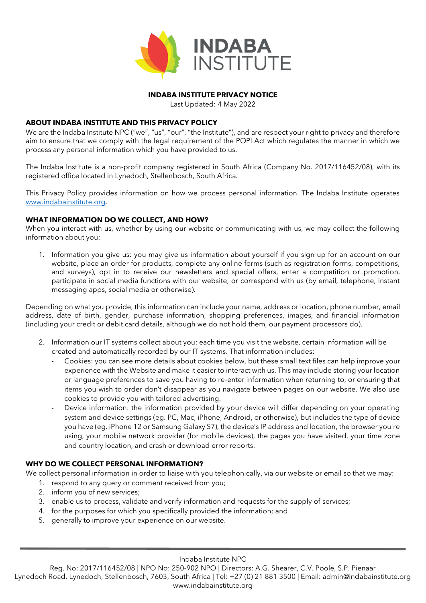

### **INDABA INSTITUTE PRIVACY NOTICE**

Last Updated: 4 May 2022

### **ABOUT INDABA INSTITUTE AND THIS PRIVACY POLICY**

We are the Indaba Institute NPC ("we", "us", "our", "the Institute"), and are respect your right to privacy and therefore aim to ensure that we comply with the legal requirement of the POPI Act which regulates the manner in which we process any personal information which you have provided to us.

The Indaba Institute is a non-profit company registered in South Africa (Company No. 2017/116452/08), with its registered office located in Lynedoch, Stellenbosch, South Africa.

This Privacy Policy provides information on how we process personal information. The Indaba Institute operates [www.indabainstitute.org.](http://www.indabainstitute.org/)

### **WHAT INFORMATION DO WE COLLECT, AND HOW?**

When you interact with us, whether by using our website or communicating with us, we may collect the following information about you:

1. Information you give us: you may give us information about yourself if you sign up for an account on our website, place an order for products, complete any online forms (such as registration forms, competitions, and surveys), opt in to receive our newsletters and special offers, enter a competition or promotion, participate in social media functions with our website, or correspond with us (by email, telephone, instant messaging apps, social media or otherwise).

Depending on what you provide, this information can include your name, address or location, phone number, email address, date of birth, gender, purchase information, shopping preferences, images, and financial information (including your credit or debit card details, although we do not hold them, our payment processors do).

- 2. Information our IT systems collect about you: each time you visit the website, certain information will be created and automatically recorded by our IT systems. That information includes:
	- **-** Cookies: you can see more details about cookies below, but these small text files can help improve your experience with the Website and make it easier to interact with us. This may include storing your location or language preferences to save you having to re-enter information when returning to, or ensuring that items you wish to order don't disappear as you navigate between pages on our website. We also use cookies to provide you with tailored advertising.
	- **-** Device information: the information provided by your device will differ depending on your operating system and device settings (eg. PC, Mac, iPhone, Android, or otherwise), but includes the type of device you have (eg. iPhone 12 or Samsung Galaxy S7), the device's IP address and location, the browser you're using, your mobile network provider (for mobile devices), the pages you have visited, your time zone and country location, and crash or download error reports.

# **WHY DO WE COLLECT PERSONAL INFORMATION?**

We collect personal information in order to liaise with you telephonically, via our website or email so that we may:

- 1. respond to any query or comment received from you;
- 2. inform you of new services;
- 3. enable us to process, validate and verify information and requests for the supply of services;
- 4. for the purposes for which you specifically provided the information; and
- 5. generally to improve your experience on our website.

Indaba Institute NPC

Reg. No: 2017/116452/08 | NPO No: 250-902 NPO | Directors: A.G. Shearer, C.V. Poole, S.P. Pienaar Lynedoch Road, Lynedoch, Stellenbosch, 7603, South Africa | Tel: +27 (0) 21 881 3500 | Email: admin@indabainstitute.org www.indabainstitute.org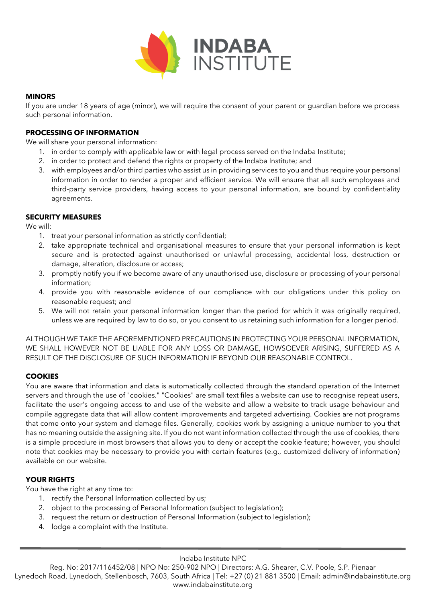

## **MINORS**

If you are under 18 years of age (minor), we will require the consent of your parent or guardian before we process such personal information.

### **PROCESSING OF INFORMATION**

We will share your personal information:

- 1. in order to comply with applicable law or with legal process served on the Indaba Institute;
- 2. in order to protect and defend the rights or property of the Indaba Institute; and
- 3. with employees and/or third parties who assist us in providing services to you and thus require your personal information in order to render a proper and efficient service. We will ensure that all such employees and third-party service providers, having access to your personal information, are bound by confidentiality agreements.

### **SECURITY MEASURES**

We will:

- 1. treat your personal information as strictly confidential;
- 2. take appropriate technical and organisational measures to ensure that your personal information is kept secure and is protected against unauthorised or unlawful processing, accidental loss, destruction or damage, alteration, disclosure or access;
- 3. promptly notify you if we become aware of any unauthorised use, disclosure or processing of your personal information;
- 4. provide you with reasonable evidence of our compliance with our obligations under this policy on reasonable request; and
- 5. We will not retain your personal information longer than the period for which it was originally required, unless we are required by law to do so, or you consent to us retaining such information for a longer period.

ALTHOUGH WE TAKE THE AFOREMENTIONED PRECAUTIONS IN PROTECTING YOUR PERSONAL INFORMATION, WE SHALL HOWEVER NOT BE LIABLE FOR ANY LOSS OR DAMAGE, HOWSOEVER ARISING, SUFFERED AS A RESULT OF THE DISCLOSURE OF SUCH INFORMATION IF BEYOND OUR REASONABLE CONTROL.

### **COOKIES**

You are aware that information and data is automatically collected through the standard operation of the Internet servers and through the use of "cookies." "Cookies" are small text files a website can use to recognise repeat users, facilitate the user's ongoing access to and use of the website and allow a website to track usage behaviour and compile aggregate data that will allow content improvements and targeted advertising. Cookies are not programs that come onto your system and damage files. Generally, cookies work by assigning a unique number to you that has no meaning outside the assigning site. If you do not want information collected through the use of cookies, there is a simple procedure in most browsers that allows you to deny or accept the cookie feature; however, you should note that cookies may be necessary to provide you with certain features (e.g., customized delivery of information) available on our website.

### **YOUR RIGHTS**

You have the right at any time to:

- 1. rectify the Personal Information collected by us;
- 2. object to the processing of Personal Information (subject to legislation);
- 3. request the return or destruction of Personal Information (subject to legislation);
- 4. lodge a complaint with the Institute.

Indaba Institute NPC

Reg. No: 2017/116452/08 | NPO No: 250-902 NPO | Directors: A.G. Shearer, C.V. Poole, S.P. Pienaar Lynedoch Road, Lynedoch, Stellenbosch, 7603, South Africa | Tel: +27 (0) 21 881 3500 | Email: admin@indabainstitute.org www.indabainstitute.org